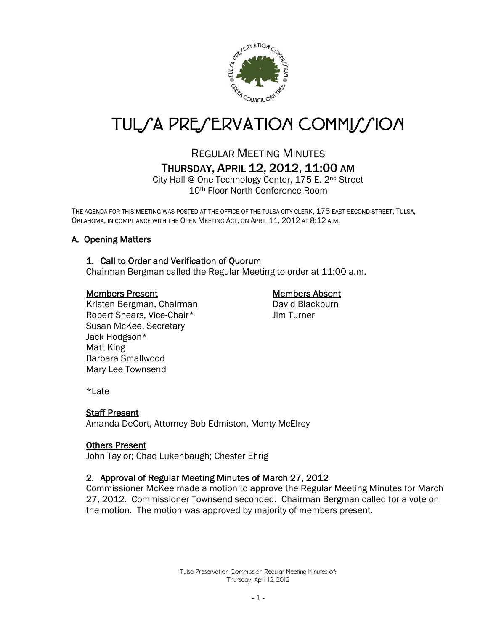

# TUL*SA PRESERVATION COMMISSION*

## REGULAR MEETING MINUTES THURSDAY, APRIL 12, 2012, 11:00 AM

City Hall @ One Technology Center, 175 E. 2nd Street 10th Floor North Conference Room

THE AGENDA FOR THIS MEETING WAS POSTED AT THE OFFICE OF THE TULSA CITY CLERK, 175 EAST SECOND STREET, TULSA, OKLAHOMA, IN COMPLIANCE WITH THE OPEN MEETING ACT, ON APRIL 11, 2012 AT 8:12 A.M.

## A. Opening Matters

#### 1. Call to Order and Verification of Quorum

Chairman Bergman called the Regular Meeting to order at 11:00 a.m.

#### Members Present Members Absent

Kristen Bergman, Chairman David Blackburn Robert Shears, Vice-Chair\* Jim Turner Susan McKee, Secretary Jack Hodgson\* Matt King Barbara Smallwood Mary Lee Townsend

\*Late

#### Staff Present

Amanda DeCort, Attorney Bob Edmiston, Monty McElroy

#### Others Present

John Taylor; Chad Lukenbaugh; Chester Ehrig

#### 2. Approval of Regular Meeting Minutes of March 27, 2012

Commissioner McKee made a motion to approve the Regular Meeting Minutes for March 27, 2012. Commissioner Townsend seconded. Chairman Bergman called for a vote on the motion. The motion was approved by majority of members present.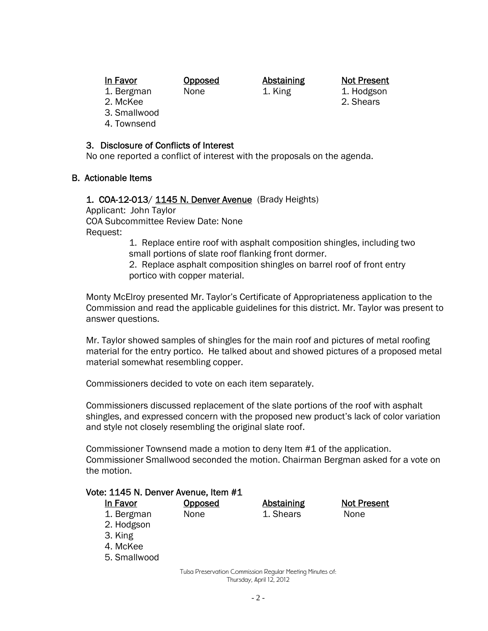In Favor **Opposed** Abstaining Not Present

1. Bergman None 1. King 1. Hodgson

- 2. McKee 2. Shears
- 3. Smallwood
- 4. Townsend

### 3. Disclosure of Conflicts of Interest

No one reported a conflict of interest with the proposals on the agenda.

## B. Actionable Items

## 1. COA-12-013/ 1145 N. Denver Avenue (Brady Heights)

Applicant: John Taylor COA Subcommittee Review Date: None Request:

 1. Replace entire roof with asphalt composition shingles, including two small portions of slate roof flanking front dormer.

 2. Replace asphalt composition shingles on barrel roof of front entry portico with copper material.

Monty McElroy presented Mr. Taylor's Certificate of Appropriateness application to the Commission and read the applicable guidelines for this district. Mr. Taylor was present to answer questions.

Mr. Taylor showed samples of shingles for the main roof and pictures of metal roofing material for the entry portico. He talked about and showed pictures of a proposed metal material somewhat resembling copper.

Commissioners decided to vote on each item separately.

Commissioners discussed replacement of the slate portions of the roof with asphalt shingles, and expressed concern with the proposed new product's lack of color variation and style not closely resembling the original slate roof.

Commissioner Townsend made a motion to deny Item #1 of the application. Commissioner Smallwood seconded the motion. Chairman Bergman asked for a vote on the motion.

#### Vote: 1145 N. Denver Avenue, Item #1

5. Smallwood

| In Favor   | <b>Opposed</b> | <b>Abstaining</b> | <b>Not Present</b> |
|------------|----------------|-------------------|--------------------|
| 1. Bergman | None           | 1. Shears         | None               |
| 2. Hodgson |                |                   |                    |
| 3. King    |                |                   |                    |
| 4. McKee   |                |                   |                    |

Tulsa Preservation Commission Regular Meeting Minutes of: Thursday, April 12, 2012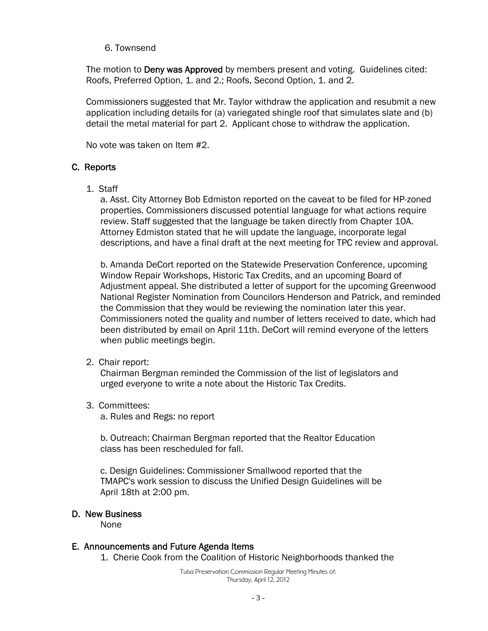#### 6. Townsend

The motion to Deny was Approved by members present and voting. Guidelines cited: Roofs, Preferred Option, 1. and 2.; Roofs, Second Option, 1. and 2.

Commissioners suggested that Mr. Taylor withdraw the application and resubmit a new application including details for (a) variegated shingle roof that simulates slate and (b) detail the metal material for part 2. Applicant chose to withdraw the application.

No vote was taken on Item #2.

#### C. Reports

1. Staff

a. Asst. City Attorney Bob Edmiston reported on the caveat to be filed for HP-zoned properties. Commissioners discussed potential language for what actions require review. Staff suggested that the language be taken directly from Chapter 10A. Attorney Edmiston stated that he will update the language, incorporate legal descriptions, and have a final draft at the next meeting for TPC review and approval.

b. Amanda DeCort reported on the Statewide Preservation Conference, upcoming Window Repair Workshops, Historic Tax Credits, and an upcoming Board of Adjustment appeal. She distributed a letter of support for the upcoming Greenwood National Register Nomination from Councilors Henderson and Patrick, and reminded the Commission that they would be reviewing the nomination later this year. Commissioners noted the quality and number of letters received to date, which had been distributed by email on April 11th. DeCort will remind everyone of the letters when public meetings begin.

2. Chair report:

 Chairman Bergman reminded the Commission of the list of legislators and urged everyone to write a note about the Historic Tax Credits.

3. Committees:

a. Rules and Regs: no report

b. Outreach: Chairman Bergman reported that the Realtor Education class has been rescheduled for fall.

c. Design Guidelines: Commissioner Smallwood reported that the TMAPC's work session to discuss the Unified Design Guidelines will be April 18th at 2:00 pm.

#### D. New Business

None

#### E. Announcements and Future Agenda Items

1. Cherie Cook from the Coalition of Historic Neighborhoods thanked the

Tulsa Preservation Commission Regular Meeting Minutes of: Thursday, April 12, 2012